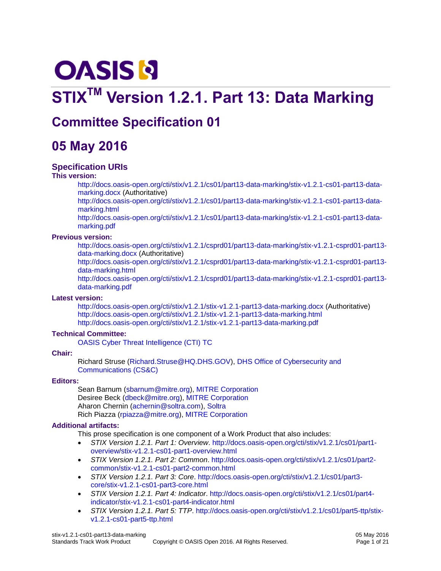# **OASIS N**

# **STIXTM Version 1.2.1. Part 13: Data Marking**

# **Committee Specification 01**

# **05 May 2016**

#### **Specification URIs**

#### **This version:**

[http://docs.oasis-open.org/cti/stix/v1.2.1/cs01/part13-data-marking/stix-v1.2.1-cs01-part13-data](http://docs.oasis-open.org/cti/stix/v1.2.1/cs01/part13-data-marking/stix-v1.2.1-cs01-part13-data-marking.docx)[marking.docx](http://docs.oasis-open.org/cti/stix/v1.2.1/cs01/part13-data-marking/stix-v1.2.1-cs01-part13-data-marking.docx) (Authoritative)

[http://docs.oasis-open.org/cti/stix/v1.2.1/cs01/part13-data-marking/stix-v1.2.1-cs01-part13-data](http://docs.oasis-open.org/cti/stix/v1.2.1/cs01/part13-data-marking/stix-v1.2.1-cs01-part13-data-marking.html)[marking.html](http://docs.oasis-open.org/cti/stix/v1.2.1/cs01/part13-data-marking/stix-v1.2.1-cs01-part13-data-marking.html)

[http://docs.oasis-open.org/cti/stix/v1.2.1/cs01/part13-data-marking/stix-v1.2.1-cs01-part13-data](http://docs.oasis-open.org/cti/stix/v1.2.1/cs01/part13-data-marking/stix-v1.2.1-cs01-part13-data-marking.pdf)[marking.pdf](http://docs.oasis-open.org/cti/stix/v1.2.1/cs01/part13-data-marking/stix-v1.2.1-cs01-part13-data-marking.pdf)

#### **Previous version:**

[http://docs.oasis-open.org/cti/stix/v1.2.1/csprd01/part13-data-marking/stix-v1.2.1-csprd01-part13](http://docs.oasis-open.org/cti/stix/v1.2.1/csprd01/part13-data-marking/stix-v1.2.1-csprd01-part13-data-marking.docx) [data-marking.docx](http://docs.oasis-open.org/cti/stix/v1.2.1/csprd01/part13-data-marking/stix-v1.2.1-csprd01-part13-data-marking.docx) (Authoritative)

[http://docs.oasis-open.org/cti/stix/v1.2.1/csprd01/part13-data-marking/stix-v1.2.1-csprd01-part13](http://docs.oasis-open.org/cti/stix/v1.2.1/csprd01/part13-data-marking/stix-v1.2.1-csprd01-part13-data-marking.html) [data-marking.html](http://docs.oasis-open.org/cti/stix/v1.2.1/csprd01/part13-data-marking/stix-v1.2.1-csprd01-part13-data-marking.html)

[http://docs.oasis-open.org/cti/stix/v1.2.1/csprd01/part13-data-marking/stix-v1.2.1-csprd01-part13](http://docs.oasis-open.org/cti/stix/v1.2.1/csprd01/part13-data-marking/stix-v1.2.1-csprd01-part13-data-marking.pdf) [data-marking.pdf](http://docs.oasis-open.org/cti/stix/v1.2.1/csprd01/part13-data-marking/stix-v1.2.1-csprd01-part13-data-marking.pdf)

#### <span id="page-0-1"></span>**Latest version:**

<http://docs.oasis-open.org/cti/stix/v1.2.1/stix-v1.2.1-part13-data-marking.docx> (Authoritative) <http://docs.oasis-open.org/cti/stix/v1.2.1/stix-v1.2.1-part13-data-marking.html> <http://docs.oasis-open.org/cti/stix/v1.2.1/stix-v1.2.1-part13-data-marking.pdf>

#### **Technical Committee:**

[OASIS Cyber Threat Intelligence \(CTI\) TC](https://www.oasis-open.org/committees/cti/)

#### **Chair:**

Richard Struse [\(Richard.Struse@HQ.DHS.GOV\)](mailto:Richard.Struse@HQ.DHS.GOV), [DHS Office of Cybersecurity and](http://www.dhs.gov/office-cybersecurity-and-communications)  [Communications \(CS&C\)](http://www.dhs.gov/office-cybersecurity-and-communications)

#### **Editors:**

Sean Barnum [\(sbarnum@mitre.org\)](mailto:sbarnum@mitre.org), [MITRE Corporation](http://www.mitre.org/) Desiree Beck [\(dbeck@mitre.org\)](mailto:dbeck@mitre.org), [MITRE Corporation](http://www.mitre.org/) Aharon Chernin [\(achernin@soltra.com\)](mailto:achernin@soltra.com)[, Soltra](http://www.soltra.com/) Rich Piazza [\(rpiazza@mitre.org\)](mailto:rpiazza@mitre.org), [MITRE Corporation](http://www.mitre.org/)

#### <span id="page-0-0"></span>**Additional artifacts:**

This prose specification is one component of a Work Product that also includes:

- *STIX Version 1.2.1. Part 1: Overview*. [http://docs.oasis-open.org/cti/stix/v1.2.1/cs01/part1](http://docs.oasis-open.org/cti/stix/v1.2.1/cs01/part1-overview/stix-v1.2.1-cs01-part1-overview.html) [overview/stix-v1.2.1-cs01-part1-overview.html](http://docs.oasis-open.org/cti/stix/v1.2.1/cs01/part1-overview/stix-v1.2.1-cs01-part1-overview.html)
- *STIX Version 1.2.1. Part 2: Common*. [http://docs.oasis-open.org/cti/stix/v1.2.1/cs01/part2](http://docs.oasis-open.org/cti/stix/v1.2.1/cs01/part2-common/stix-v1.2.1-cs01-part2-common.html) [common/stix-v1.2.1-cs01-part2-common.html](http://docs.oasis-open.org/cti/stix/v1.2.1/cs01/part2-common/stix-v1.2.1-cs01-part2-common.html)
- *STIX Version 1.2.1. Part 3: Core*. [http://docs.oasis-open.org/cti/stix/v1.2.1/cs01/part3](http://docs.oasis-open.org/cti/stix/v1.2.1/cs01/part3-core/stix-v1.2.1-cs01-part3-core.html) [core/stix-v1.2.1-cs01-part3-core.html](http://docs.oasis-open.org/cti/stix/v1.2.1/cs01/part3-core/stix-v1.2.1-cs01-part3-core.html)
- *STIX Version 1.2.1. Part 4: Indicator*. [http://docs.oasis-open.org/cti/stix/v1.2.1/cs01/part4](http://docs.oasis-open.org/cti/stix/v1.2.1/cs01/part4-indicator/stix-v1.2.1-cs01-part4-indicator.html) [indicator/stix-v1.2.1-cs01-part4-indicator.html](http://docs.oasis-open.org/cti/stix/v1.2.1/cs01/part4-indicator/stix-v1.2.1-cs01-part4-indicator.html)
- *STIX Version 1.2.1. Part 5: TTP*. [http://docs.oasis-open.org/cti/stix/v1.2.1/cs01/part5-ttp/stix](http://docs.oasis-open.org/cti/stix/v1.2.1/cs01/part5-ttp/stix-v1.2.1-cs01-part5-ttp.html)[v1.2.1-cs01-part5-ttp.html](http://docs.oasis-open.org/cti/stix/v1.2.1/cs01/part5-ttp/stix-v1.2.1-cs01-part5-ttp.html)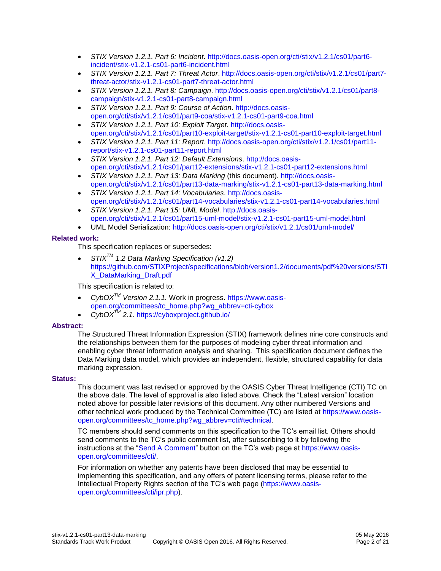- *STIX Version 1.2.1. Part 6: Incident*. [http://docs.oasis-open.org/cti/stix/v1.2.1/cs01/part6](http://docs.oasis-open.org/cti/stix/v1.2.1/cs01/part6-incident/stix-v1.2.1-cs01-part6-incident.html) [incident/stix-v1.2.1-cs01-part6-incident.html](http://docs.oasis-open.org/cti/stix/v1.2.1/cs01/part6-incident/stix-v1.2.1-cs01-part6-incident.html)
- *STIX Version 1.2.1. Part 7: Threat Actor*. [http://docs.oasis-open.org/cti/stix/v1.2.1/cs01/part7](http://docs.oasis-open.org/cti/stix/v1.2.1/cs01/part7-threat-actor/stix-v1.2.1-cs01-part7-threat-actor.html) [threat-actor/stix-v1.2.1-cs01-part7-threat-actor.html](http://docs.oasis-open.org/cti/stix/v1.2.1/cs01/part7-threat-actor/stix-v1.2.1-cs01-part7-threat-actor.html)
- *STIX Version 1.2.1. Part 8: Campaign*. [http://docs.oasis-open.org/cti/stix/v1.2.1/cs01/part8](http://docs.oasis-open.org/cti/stix/v1.2.1/cs01/part8-campaign/stix-v1.2.1-cs01-part8-campaign.html) [campaign/stix-v1.2.1-cs01-part8-campaign.html](http://docs.oasis-open.org/cti/stix/v1.2.1/cs01/part8-campaign/stix-v1.2.1-cs01-part8-campaign.html)
- *STIX Version 1.2.1. Part 9: Course of Action*. [http://docs.oasis](http://docs.oasis-open.org/cti/stix/v1.2.1/cs01/part9-coa/stix-v1.2.1-cs01-part9-coa.html)[open.org/cti/stix/v1.2.1/cs01/part9-coa/stix-v1.2.1-cs01-part9-coa.html](http://docs.oasis-open.org/cti/stix/v1.2.1/cs01/part9-coa/stix-v1.2.1-cs01-part9-coa.html)
- *STIX Version 1.2.1. Part 10: Exploit Target*. [http://docs.oasis](http://docs.oasis-open.org/cti/stix/v1.2.1/cs01/part10-exploit-target/stix-v1.2.1-cs01-part10-exploit-target.html)[open.org/cti/stix/v1.2.1/cs01/part10-exploit-target/stix-v1.2.1-cs01-part10-exploit-target.html](http://docs.oasis-open.org/cti/stix/v1.2.1/cs01/part10-exploit-target/stix-v1.2.1-cs01-part10-exploit-target.html)
- *STIX Version 1.2.1. Part 11: Report*. [http://docs.oasis-open.org/cti/stix/v1.2.1/cs01/part11](http://docs.oasis-open.org/cti/stix/v1.2.1/cs01/part11-report/stix-v1.2.1-cs01-part11-report.html) [report/stix-v1.2.1-cs01-part11-report.html](http://docs.oasis-open.org/cti/stix/v1.2.1/cs01/part11-report/stix-v1.2.1-cs01-part11-report.html)
- *STIX Version 1.2.1. Part 12: Default Extensions*. [http://docs.oasis](http://docs.oasis-open.org/cti/stix/v1.2.1/cs01/part12-extensions/stix-v1.2.1-cs01-part12-extensions.html)[open.org/cti/stix/v1.2.1/cs01/part12-extensions/stix-v1.2.1-cs01-part12-extensions.html](http://docs.oasis-open.org/cti/stix/v1.2.1/cs01/part12-extensions/stix-v1.2.1-cs01-part12-extensions.html)
- *STIX Version 1.2.1. Part 13: Data Marking* (this document). [http://docs.oasis](http://docs.oasis-open.org/cti/stix/v1.2.1/cs01/part13-data-marking/stix-v1.2.1-cs01-part13-data-marking.html)[open.org/cti/stix/v1.2.1/cs01/part13-data-marking/stix-v1.2.1-cs01-part13-data-marking.html](http://docs.oasis-open.org/cti/stix/v1.2.1/cs01/part13-data-marking/stix-v1.2.1-cs01-part13-data-marking.html)
- *STIX Version 1.2.1. Part 14: Vocabularies*. [http://docs.oasis](http://docs.oasis-open.org/cti/stix/v1.2.1/cs01/part14-vocabularies/stix-v1.2.1-cs01-part14-vocabularies.html)[open.org/cti/stix/v1.2.1/cs01/part14-vocabularies/stix-v1.2.1-cs01-part14-vocabularies.html](http://docs.oasis-open.org/cti/stix/v1.2.1/cs01/part14-vocabularies/stix-v1.2.1-cs01-part14-vocabularies.html)
- *STIX Version 1.2.1. Part 15: UML Model*. [http://docs.oasis](http://docs.oasis-open.org/cti/stix/v1.2.1/cs01/part15-uml-model/stix-v1.2.1-cs01-part15-uml-model.html)[open.org/cti/stix/v1.2.1/cs01/part15-uml-model/stix-v1.2.1-cs01-part15-uml-model.html](http://docs.oasis-open.org/cti/stix/v1.2.1/cs01/part15-uml-model/stix-v1.2.1-cs01-part15-uml-model.html)

UML Model Serialization:<http://docs.oasis-open.org/cti/stix/v1.2.1/cs01/uml-model/>

#### <span id="page-1-0"></span>**Related work:**

This specification replaces or supersedes:

 *STIXTM 1.2 Data Marking Specification (v1.2)*  [https://github.com/STIXProject/specifications/blob/version1.2/documents/pdf%20versions/STI](https://github.com/STIXProject/specifications/blob/version1.2/documents/pdf%20versions/STIX_DataMarking_Draft.pdf) [X\\_DataMarking\\_Draft.pdf](https://github.com/STIXProject/specifications/blob/version1.2/documents/pdf%20versions/STIX_DataMarking_Draft.pdf)

This specification is related to:

- *CybOXTM Version 2.1.1.* Work in progress. [https://www.oasis](https://www.oasis-open.org/committees/tc_home.php?wg_abbrev=cti-cybox)[open.org/committees/tc\\_home.php?wg\\_abbrev=cti-cybox](https://www.oasis-open.org/committees/tc_home.php?wg_abbrev=cti-cybox)
- *CybOXTM 2.1.* <https://cyboxproject.github.io/>

#### **Abstract:**

The Structured Threat Information Expression (STIX) framework defines nine core constructs and the relationships between them for the purposes of modeling cyber threat information and enabling cyber threat information analysis and sharing. This specification document defines the Data Marking data model, which provides an independent, flexible, structured capability for data marking expression.

#### **Status:**

This document was last revised or approved by the OASIS Cyber Threat Intelligence (CTI) TC on the above date. The level of approval is also listed above. Check the "Latest version" location noted above for possible later revisions of this document. Any other numbered Versions and other technical work produced by the Technical Committee (TC) are listed at [https://www.oasis](https://www.oasis-open.org/committees/tc_home.php?wg_abbrev=cti#technical)[open.org/committees/tc\\_home.php?wg\\_abbrev=cti#technical.](https://www.oasis-open.org/committees/tc_home.php?wg_abbrev=cti#technical)

TC members should send comments on this specification to the TC's email list. Others should send comments to the TC's public comment list, after subscribing to it by following the instructions at the ["Send A Comment"](https://www.oasis-open.org/committees/comments/index.php?wg_abbrev=cti) button on the TC's web page at [https://www.oasis](https://www.oasis-open.org/committees/cti/)[open.org/committees/cti/.](https://www.oasis-open.org/committees/cti/)

For information on whether any patents have been disclosed that may be essential to implementing this specification, and any offers of patent licensing terms, please refer to the Intellectual Property Rights section of the TC's web page [\(https://www.oasis](https://www.oasis-open.org/committees/cti/ipr.php)[open.org/committees/cti/ipr.php\)](https://www.oasis-open.org/committees/cti/ipr.php).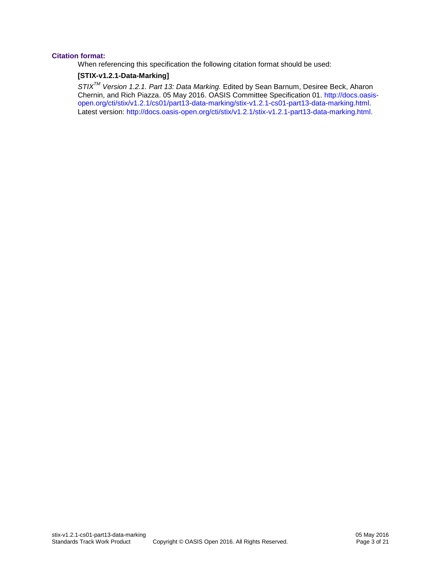#### **Citation format:**

When referencing this specification the following citation format should be used:

#### **[STIX-v1.2.1-Data-Marking]**

*STIXTM Version 1.2.1. Part 13: Data Marking.* Edited by Sean Barnum, Desiree Beck, Aharon Chernin, and Rich Piazza. 05 May 2016. OASIS Committee Specification 01. [http://docs.oasis](http://docs.oasis-open.org/cti/stix/v1.2.1/cs01/part13-data-marking/stix-v1.2.1-cs01-part13-data-marking.html)[open.org/cti/stix/v1.2.1/cs01/part13-data-marking/stix-v1.2.1-cs01-part13-data-marking.html.](http://docs.oasis-open.org/cti/stix/v1.2.1/cs01/part13-data-marking/stix-v1.2.1-cs01-part13-data-marking.html) Latest version: [http://docs.oasis-open.org/cti/stix/v1.2.1/stix-v1.2.1-part13-data-marking.html.](http://docs.oasis-open.org/cti/stix/v1.2.1/stix-v1.2.1-part13-data-marking.html)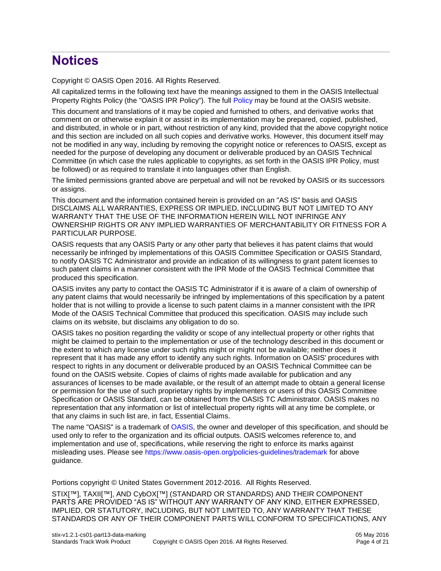# **Notices**

Copyright © OASIS Open 2016. All Rights Reserved.

All capitalized terms in the following text have the meanings assigned to them in the OASIS Intellectual Property Rights Policy (the "OASIS IPR Policy"). The full [Policy](https://www.oasis-open.org/policies-guidelines/ipr) may be found at the OASIS website.

This document and translations of it may be copied and furnished to others, and derivative works that comment on or otherwise explain it or assist in its implementation may be prepared, copied, published, and distributed, in whole or in part, without restriction of any kind, provided that the above copyright notice and this section are included on all such copies and derivative works. However, this document itself may not be modified in any way, including by removing the copyright notice or references to OASIS, except as needed for the purpose of developing any document or deliverable produced by an OASIS Technical Committee (in which case the rules applicable to copyrights, as set forth in the OASIS IPR Policy, must be followed) or as required to translate it into languages other than English.

The limited permissions granted above are perpetual and will not be revoked by OASIS or its successors or assigns.

This document and the information contained herein is provided on an "AS IS" basis and OASIS DISCLAIMS ALL WARRANTIES, EXPRESS OR IMPLIED, INCLUDING BUT NOT LIMITED TO ANY WARRANTY THAT THE USE OF THE INFORMATION HEREIN WILL NOT INFRINGE ANY OWNERSHIP RIGHTS OR ANY IMPLIED WARRANTIES OF MERCHANTABILITY OR FITNESS FOR A PARTICULAR PURPOSE.

OASIS requests that any OASIS Party or any other party that believes it has patent claims that would necessarily be infringed by implementations of this OASIS Committee Specification or OASIS Standard, to notify OASIS TC Administrator and provide an indication of its willingness to grant patent licenses to such patent claims in a manner consistent with the IPR Mode of the OASIS Technical Committee that produced this specification.

OASIS invites any party to contact the OASIS TC Administrator if it is aware of a claim of ownership of any patent claims that would necessarily be infringed by implementations of this specification by a patent holder that is not willing to provide a license to such patent claims in a manner consistent with the IPR Mode of the OASIS Technical Committee that produced this specification. OASIS may include such claims on its website, but disclaims any obligation to do so.

OASIS takes no position regarding the validity or scope of any intellectual property or other rights that might be claimed to pertain to the implementation or use of the technology described in this document or the extent to which any license under such rights might or might not be available; neither does it represent that it has made any effort to identify any such rights. Information on OASIS' procedures with respect to rights in any document or deliverable produced by an OASIS Technical Committee can be found on the OASIS website. Copies of claims of rights made available for publication and any assurances of licenses to be made available, or the result of an attempt made to obtain a general license or permission for the use of such proprietary rights by implementers or users of this OASIS Committee Specification or OASIS Standard, can be obtained from the OASIS TC Administrator. OASIS makes no representation that any information or list of intellectual property rights will at any time be complete, or that any claims in such list are, in fact, Essential Claims.

The name "OASIS" is a trademark of [OASIS,](https://www.oasis-open.org/) the owner and developer of this specification, and should be used only to refer to the organization and its official outputs. OASIS welcomes reference to, and implementation and use of, specifications, while reserving the right to enforce its marks against misleading uses. Please see<https://www.oasis-open.org/policies-guidelines/trademark> for above guidance.

Portions copyright © United States Government 2012-2016. All Rights Reserved.

STIX[™], TAXII[™], AND CybOX[™] (STANDARD OR STANDARDS) AND THEIR COMPONENT PARTS ARE PROVIDED "AS IS" WITHOUT ANY WARRANTY OF ANY KIND, EITHER EXPRESSED, IMPLIED, OR STATUTORY, INCLUDING, BUT NOT LIMITED TO, ANY WARRANTY THAT THESE STANDARDS OR ANY OF THEIR COMPONENT PARTS WILL CONFORM TO SPECIFICATIONS, ANY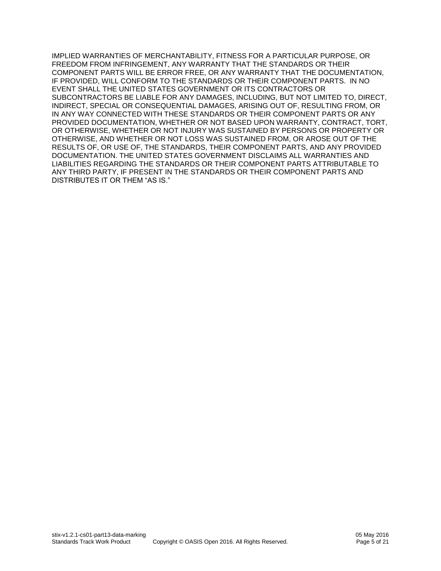IMPLIED WARRANTIES OF MERCHANTABILITY, FITNESS FOR A PARTICULAR PURPOSE, OR FREEDOM FROM INFRINGEMENT, ANY WARRANTY THAT THE STANDARDS OR THEIR COMPONENT PARTS WILL BE ERROR FREE, OR ANY WARRANTY THAT THE DOCUMENTATION, IF PROVIDED, WILL CONFORM TO THE STANDARDS OR THEIR COMPONENT PARTS. IN NO EVENT SHALL THE UNITED STATES GOVERNMENT OR ITS CONTRACTORS OR SUBCONTRACTORS BE LIABLE FOR ANY DAMAGES, INCLUDING, BUT NOT LIMITED TO, DIRECT, INDIRECT, SPECIAL OR CONSEQUENTIAL DAMAGES, ARISING OUT OF, RESULTING FROM, OR IN ANY WAY CONNECTED WITH THESE STANDARDS OR THEIR COMPONENT PARTS OR ANY PROVIDED DOCUMENTATION, WHETHER OR NOT BASED UPON WARRANTY, CONTRACT, TORT, OR OTHERWISE, WHETHER OR NOT INJURY WAS SUSTAINED BY PERSONS OR PROPERTY OR OTHERWISE, AND WHETHER OR NOT LOSS WAS SUSTAINED FROM, OR AROSE OUT OF THE RESULTS OF, OR USE OF, THE STANDARDS, THEIR COMPONENT PARTS, AND ANY PROVIDED DOCUMENTATION. THE UNITED STATES GOVERNMENT DISCLAIMS ALL WARRANTIES AND LIABILITIES REGARDING THE STANDARDS OR THEIR COMPONENT PARTS ATTRIBUTABLE TO ANY THIRD PARTY, IF PRESENT IN THE STANDARDS OR THEIR COMPONENT PARTS AND DISTRIBUTES IT OR THEM "AS IS."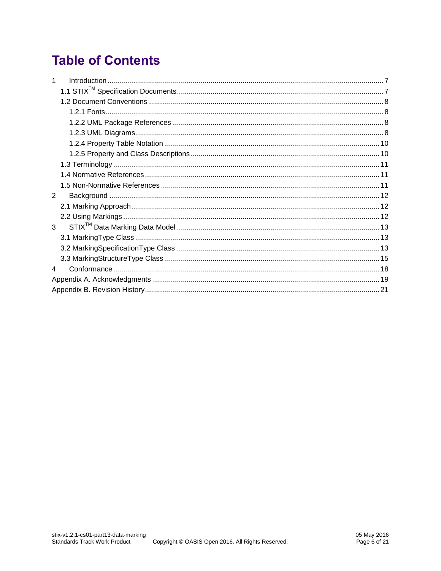# **Table of Contents**

| 2              |  |  |  |  |  |
|----------------|--|--|--|--|--|
|                |  |  |  |  |  |
|                |  |  |  |  |  |
| 3 <sup>1</sup> |  |  |  |  |  |
|                |  |  |  |  |  |
|                |  |  |  |  |  |
|                |  |  |  |  |  |
| 4              |  |  |  |  |  |
|                |  |  |  |  |  |
|                |  |  |  |  |  |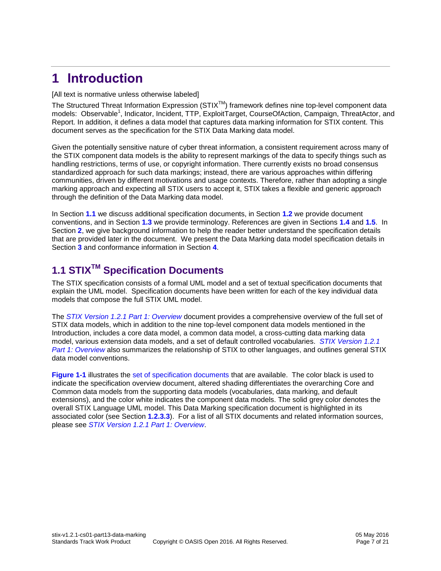# <span id="page-6-0"></span>**1 Introduction**

[All text is normative unless otherwise labeled]

The Structured Threat Information Expression (STIX<sup>™</sup>) framework defines nine top-level component data models: Observable<sup>1</sup>, Indicator, Incident, TTP, ExploitTarget, CourseOfAction, Campaign, ThreatActor, and Report. In addition, it defines a data model that captures data marking information for STIX content. This document serves as the specification for the STIX Data Marking data model.

Given the potentially sensitive nature of cyber threat information, a consistent requirement across many of the STIX component data models is the ability to represent markings of the data to specify things such as handling restrictions, terms of use, or copyright information. There currently exists no broad consensus standardized approach for such data markings; instead, there are various approaches within differing communities, driven by different motivations and usage contexts. Therefore, rather than adopting a single marking approach and expecting all STIX users to accept it, STIX takes a flexible and generic approach through the definition of the Data Marking data model.

In Section **[1.1](#page-6-1)** we discuss additional specification documents, in Section **[1.2](#page-7-0)** we provide document conventions, and in Section **[1.3](#page-10-0)** we provide terminology. References are given in Sections **[1.4](#page-10-1)** and **[1.5](#page-10-2)**. In Section [2](#page-11-0), we give background information to help the reader better understand the specification details that are provided later in the document. We present the Data Marking data model specification details in Section **[3](#page-12-0)** and conformance information in Section **[4](#page-17-0)**.

# <span id="page-6-1"></span>**1.1 STIXTM Specification Documents**

The STIX specification consists of a formal UML model and a set of textual specification documents that explain the UML model. Specification documents have been written for each of the key individual data models that compose the full STIX UML model.

The *[STIX Version 1.2.1 Part 1: Overview](#page-0-0)* document provides a comprehensive overview of the full set of STIX data models, which in addition to the nine top-level component data models mentioned in the Introduction, includes a core data model, a common data model, a cross-cutting data marking data model, various extension data models, and a set of default controlled vocabularies. *[STIX Version 1.2.1](#page-0-0)  [Part 1: Overview](#page-0-0)* also summarizes the relationship of STIX to other languages, and outlines general STIX data model conventions.

**[Figure 1-1](#page-7-4)** illustrates the [set of specification documents](#page-0-0) that are available. The color black is used to indicate the specification overview document, altered shading differentiates the overarching Core and Common data models from the supporting data models (vocabularies, data marking, and default extensions), and the color white indicates the component data models. The solid grey color denotes the overall STIX Language UML model. This Data Marking specification document is highlighted in its associated color (see Section **[1.2.3.3](#page-9-2)**). For a list of all STIX documents and related information sources, please see *[STIX Version 1.2.1 Part 1: Overview](#page-0-0)*.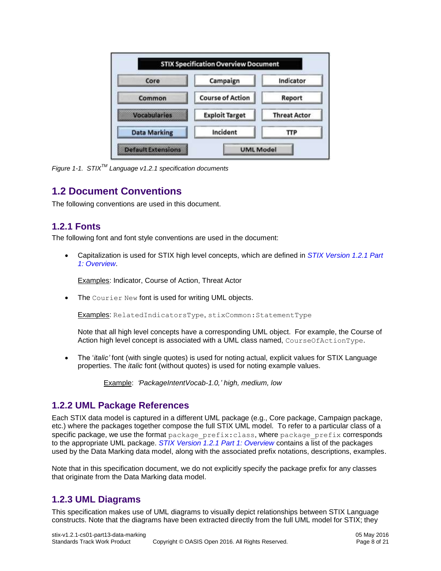| Core                | Campaign                | Indicator           |
|---------------------|-------------------------|---------------------|
| Common              | <b>Course of Action</b> | Report              |
| <b>Vocabularies</b> | <b>Exploit Target</b>   | <b>Threat Actor</b> |
| <b>Data Marking</b> | Incident                | TTP                 |

<span id="page-7-4"></span>*Figure 1-1. STIXTM Language v1.2.1 specification documents*

### <span id="page-7-0"></span>**1.2 Document Conventions**

The following conventions are used in this document.

### <span id="page-7-1"></span>**1.2.1 Fonts**

The following font and font style conventions are used in the document:

 Capitalization is used for STIX high level concepts, which are defined in *[STIX Version 1.2.1 Part](#page-0-0)  [1: Overview](#page-0-0)*.

Examples: Indicator, Course of Action, Threat Actor

The Courier New font is used for writing UML objects.

Examples: RelatedIndicatorsType, stixCommon:StatementType

Note that all high level concepts have a corresponding UML object. For example, the Course of Action high level concept is associated with a UML class named, CourseOfActionType.

 The '*italic'* font (with single quotes) is used for noting actual, explicit values for STIX Language properties. The *italic* font (without quotes) is used for noting example values.

Example: *'PackageIntentVocab-1.0,' high, medium, low*

#### <span id="page-7-2"></span>**1.2.2 UML Package References**

Each STIX data model is captured in a different UML package (e.g., Core package, Campaign package, etc.) where the packages together compose the full STIX UML model. To refer to a particular class of a specific package, we use the format package prefix: class, where package prefix corresponds to the appropriate UML package. *[STIX Version 1.2.1 Part 1: Overview](#page-0-0)* contains a list of the packages used by the Data Marking data model, along with the associated prefix notations, descriptions, examples.

Note that in this specification document, we do not explicitly specify the package prefix for any classes that originate from the Data Marking data model.

### <span id="page-7-3"></span>**1.2.3 UML Diagrams**

This specification makes use of UML diagrams to visually depict relationships between STIX Language constructs. Note that the diagrams have been extracted directly from the full UML model for STIX; they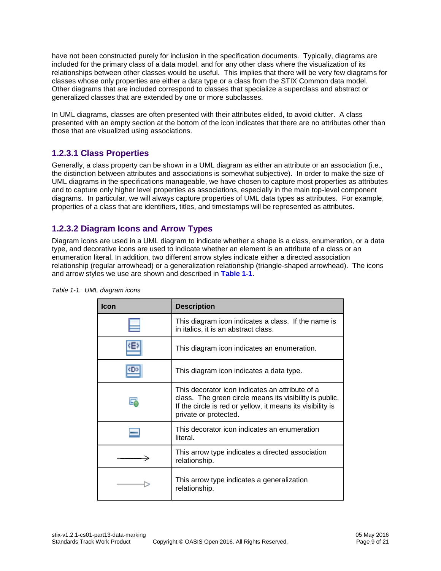have not been constructed purely for inclusion in the specification documents. Typically, diagrams are included for the primary class of a data model, and for any other class where the visualization of its relationships between other classes would be useful. This implies that there will be very few diagrams for classes whose only properties are either a data type or a class from the STIX Common data model. Other diagrams that are included correspond to classes that specialize a superclass and abstract or generalized classes that are extended by one or more subclasses.

In UML diagrams, classes are often presented with their attributes elided, to avoid clutter. A class presented with an empty section at the bottom of the icon indicates that there are no attributes other than those that are visualized using associations.

### **1.2.3.1 Class Properties**

Generally, a class property can be shown in a UML diagram as either an attribute or an association (i.e., the distinction between attributes and associations is somewhat subjective). In order to make the size of UML diagrams in the specifications manageable, we have chosen to capture most properties as attributes and to capture only higher level properties as associations, especially in the main top-level component diagrams. In particular, we will always capture properties of UML data types as attributes. For example, properties of a class that are identifiers, titles, and timestamps will be represented as attributes.

### **1.2.3.2 Diagram Icons and Arrow Types**

Diagram icons are used in a UML diagram to indicate whether a shape is a class, enumeration, or a data type, and decorative icons are used to indicate whether an element is an attribute of a class or an enumeration literal. In addition, two different arrow styles indicate either a directed association relationship (regular arrowhead) or a generalization relationship (triangle-shaped arrowhead). The icons and arrow styles we use are shown and described in **[Table 1-1](#page-8-0)**.

| Icon | <b>Description</b>                                                                                                                                                                                |
|------|---------------------------------------------------------------------------------------------------------------------------------------------------------------------------------------------------|
|      | This diagram icon indicates a class. If the name is<br>in italics, it is an abstract class.                                                                                                       |
| 伯?   | This diagram icon indicates an enumeration.                                                                                                                                                       |
| KDZ  | This diagram icon indicates a data type.                                                                                                                                                          |
|      | This decorator icon indicates an attribute of a<br>class. The green circle means its visibility is public.<br>If the circle is red or yellow, it means its visibility is<br>private or protected. |
|      | This decorator icon indicates an enumeration<br>literal.                                                                                                                                          |
|      | This arrow type indicates a directed association<br>relationship.                                                                                                                                 |
|      | This arrow type indicates a generalization<br>relationship.                                                                                                                                       |

<span id="page-8-0"></span>*Table 1-1. UML diagram icons*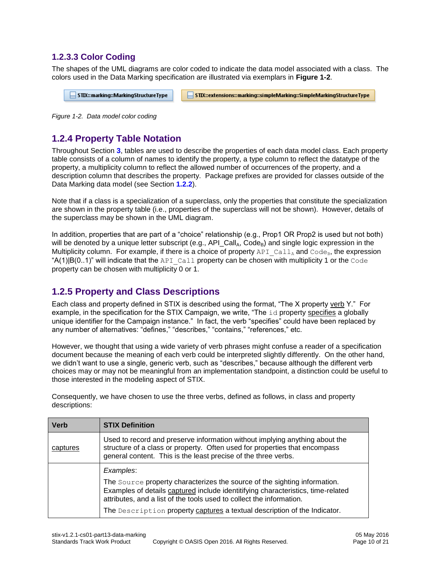#### <span id="page-9-2"></span>**1.2.3.3 Color Coding**

The shapes of the UML diagrams are color coded to indicate the data model associated with a class. The colors used in the Data Marking specification are illustrated via exemplars in **[Figure 1-2](#page-9-3)**.

STIX:: marking::MarkingStructureType STIX::extensions::marking::simpleMarking::SimpleMarkingStructureType

<span id="page-9-3"></span>*Figure 1-2. Data model color coding*

#### <span id="page-9-0"></span>**1.2.4 Property Table Notation**

Throughout Section **[3](#page-12-0)**, tables are used to describe the properties of each data model class. Each property table consists of a column of names to identify the property, a type column to reflect the datatype of the property, a multiplicity column to reflect the allowed number of occurrences of the property, and a description column that describes the property. Package prefixes are provided for classes outside of the Data Marking data model (see Section **[1.2.2](#page-7-2)**).

Note that if a class is a specialization of a superclass, only the properties that constitute the specialization are shown in the property table (i.e., properties of the superclass will not be shown). However, details of the superclass may be shown in the UML diagram.

In addition, properties that are part of a "choice" relationship (e.g., Prop1 OR Prop2 is used but not both) will be denoted by a unique letter subscript (e.g., API Call<sub>A</sub>, Code<sub>B</sub>) and single logic expression in the Multiplicity column. For example, if there is a choice of property  $APICail_A$  and  $Code_B$ , the expression " $A(1)|B(0..1)$ " will indicate that the API Call property can be chosen with multiplicity 1 or the Code property can be chosen with multiplicity 0 or 1.

### <span id="page-9-1"></span>**1.2.5 Property and Class Descriptions**

Each class and property defined in STIX is described using the format, "The X property verb Y." For example, in the specification for the STIX Campaign, we write, "The id property specifies a globally unique identifier for the Campaign instance." In fact, the verb "specifies" could have been replaced by any number of alternatives: "defines," "describes," "contains," "references," etc.

However, we thought that using a wide variety of verb phrases might confuse a reader of a specification document because the meaning of each verb could be interpreted slightly differently. On the other hand, we didn't want to use a single, generic verb, such as "describes," because although the different verb choices may or may not be meaningful from an implementation standpoint, a distinction could be useful to those interested in the modeling aspect of STIX.

Consequently, we have chosen to use the three verbs, defined as follows, in class and property descriptions:

| <b>Verb</b>                                                               | <b>STIX Definition</b>                                                                                                                                                                                                                |  |  |  |
|---------------------------------------------------------------------------|---------------------------------------------------------------------------------------------------------------------------------------------------------------------------------------------------------------------------------------|--|--|--|
| captures                                                                  | Used to record and preserve information without implying anything about the<br>structure of a class or property. Often used for properties that encompass<br>general content. This is the least precise of the three verbs.           |  |  |  |
| Examples:                                                                 |                                                                                                                                                                                                                                       |  |  |  |
|                                                                           | The Source property characterizes the source of the sighting information.<br>Examples of details captured include identitifying characteristics, time-related<br>attributes, and a list of the tools used to collect the information. |  |  |  |
| The Description property captures a textual description of the Indicator. |                                                                                                                                                                                                                                       |  |  |  |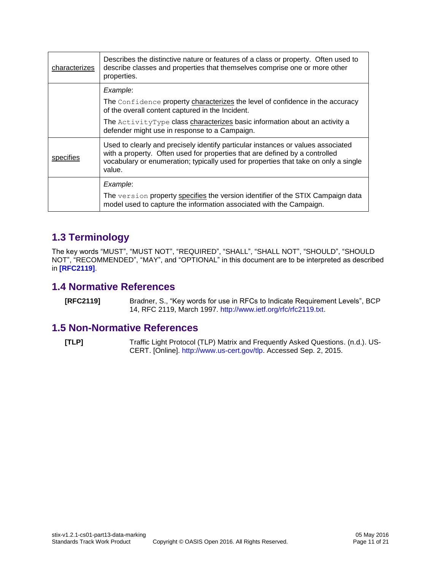| characterizes | Describes the distinctive nature or features of a class or property. Often used to<br>describe classes and properties that themselves comprise one or more other<br>properties.                                                                                  |  |  |
|---------------|------------------------------------------------------------------------------------------------------------------------------------------------------------------------------------------------------------------------------------------------------------------|--|--|
|               | Example:                                                                                                                                                                                                                                                         |  |  |
|               | The Confidence property characterizes the level of confidence in the accuracy<br>of the overall content captured in the Incident.                                                                                                                                |  |  |
|               | The ActivityType class characterizes basic information about an activity a<br>defender might use in response to a Campaign.                                                                                                                                      |  |  |
| specifies     | Used to clearly and precisely identify particular instances or values associated<br>with a property. Often used for properties that are defined by a controlled<br>vocabulary or enumeration; typically used for properties that take on only a single<br>value. |  |  |
|               | Example:                                                                                                                                                                                                                                                         |  |  |
|               | The version property specifies the version identifier of the STIX Campaign data<br>model used to capture the information associated with the Campaign.                                                                                                           |  |  |

## <span id="page-10-0"></span>**1.3 Terminology**

The key words "MUST", "MUST NOT", "REQUIRED", "SHALL", "SHALL NOT", "SHOULD", "SHOULD NOT", "RECOMMENDED", "MAY", and "OPTIONAL" in this document are to be interpreted as described in **[\[RFC2119\]](#page-10-3)**.

### <span id="page-10-1"></span>**1.4 Normative References**

<span id="page-10-3"></span>**[RFC2119]** Bradner, S., "Key words for use in RFCs to Indicate Requirement Levels", BCP 14, RFC 2119, March 1997. [http://www.ietf.org/rfc/rfc2119.txt.](http://www.ietf.org/rfc/rfc2119.txt)

### <span id="page-10-2"></span>**1.5 Non-Normative References**

<span id="page-10-4"></span>**[TLP]** Traffic Light Protocol (TLP) Matrix and Frequently Asked Questions. (n.d.). US-CERT. [Online]. [http://www.us-cert.gov/tlp.](http://www.us-cert.gov/tlp) Accessed Sep. 2, 2015.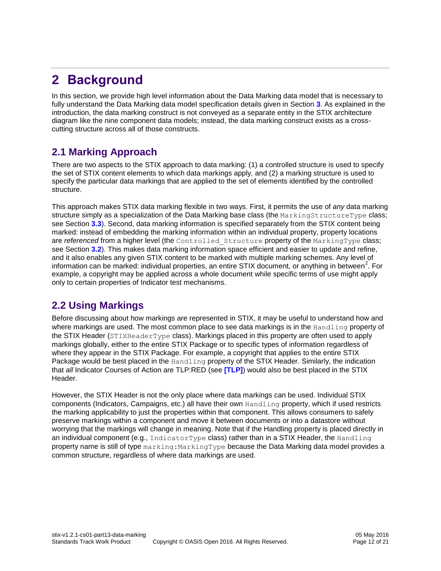# <span id="page-11-0"></span>**2 Background**

In this section, we provide high level information about the Data Marking data model that is necessary to fully understand the Data Marking data model specification details given in Section **[3](#page-12-0)**. As explained in the introduction, the data marking construct is not conveyed as a separate entity in the STIX architecture diagram like the nine component data models; instead, the data marking construct exists as a crosscutting structure across all of those constructs.

## <span id="page-11-1"></span>**2.1 Marking Approach**

There are two aspects to the STIX approach to data marking: (1) a controlled structure is used to specify the set of STIX content elements to which data markings apply, and (2) a marking structure is used to specify the particular data markings that are applied to the set of elements identified by the controlled structure.

This approach makes STIX data marking flexible in two ways. First, it permits the use of *any* data marking structure simply as a specialization of the Data Marking base class (the MarkingStructureType class; see Section **[3.3](#page-14-0)**). Second, data marking information is specified separately from the STIX content being marked: instead of embedding the marking information within an individual property, property locations are *referenced* from a higher level (the Controlled Structure property of the MarkingType class; see Section **[3.2](#page-12-2)**). This makes data marking information space efficient and easier to update and refine, and it also enables any given STIX content to be marked with multiple marking schemes. Any level of information can be marked: individual properties, an entire STIX document, or anything in between<sup>2</sup>. For example, a copyright may be applied across a whole document while specific terms of use might apply only to certain properties of Indicator test mechanisms.

# <span id="page-11-2"></span>**2.2 Using Markings**

Before discussing about how markings are represented in STIX, it may be useful to understand how and where markings are used. The most common place to see data markings is in the Handling property of the STIX Header (STIXHeaderType class). Markings placed in this property are often used to apply markings globally, either to the entire STIX Package or to specific types of information regardless of where they appear in the STIX Package. For example, a copyright that applies to the entire STIX Package would be best placed in the Handling property of the STIX Header. Similarly, the indication that *all* Indicator Courses of Action are TLP:RED (see **[\[TLP\]](#page-10-4)**) would also be best placed in the STIX Header.

However, the STIX Header is not the only place where data markings can be used. Individual STIX components (Indicators, Campaigns, etc.) all have their own Handling property, which if used restricts the marking applicability to just the properties within that component. This allows consumers to safely preserve markings within a component and move it between documents or into a datastore without worrying that the markings will change in meaning. Note that if the Handling property is placed directly in an individual component (e.g., IndicatorType class) rather than in a STIX Header, the Handling property name is still of type marking: MarkingType because the Data Marking data model provides a common structure, regardless of where data markings are used.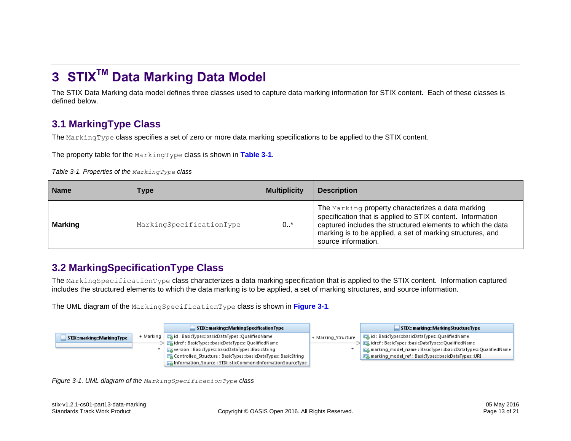# **3 STIXTM Data Marking Data Model**

The STIX Data Marking data model defines three classes used to capture data marking information for STIX content. Each of these classes is defined below.

## **3.1 MarkingType Class**

The MarkingType class specifies a set of zero or more data marking specifications to be applied to the STIX content.

The property table for the MarkingType class is shown in **[Table 3-1](#page-12-3)**.

<span id="page-12-3"></span>

|  |  |  | Table 3-1. Properties of the MarkingType class |  |
|--|--|--|------------------------------------------------|--|
|--|--|--|------------------------------------------------|--|

<span id="page-12-0"></span>

| <b>Name</b>    | Type                     | <b>Multiplicity</b> | <b>Description</b>                                                                                                                                                                                                                                                  |
|----------------|--------------------------|---------------------|---------------------------------------------------------------------------------------------------------------------------------------------------------------------------------------------------------------------------------------------------------------------|
| <b>Marking</b> | MarkingSpecificationType | $0.7*$              | The Marking property characterizes a data marking<br>specification that is applied to STIX content. Information<br>captured includes the structured elements to which the data<br>marking is to be applied, a set of marking structures, and<br>source information. |

### <span id="page-12-1"></span>**3.2 MarkingSpecificationType Class**

The MarkingSpecificationType class characterizes a data marking specification that is applied to the STIX content. Information captured includes the structured elements to which the data marking is to be applied, a set of marking structures, and source information.

The UML diagram of the MarkingSpecificationType class is shown in **[Figure 3-1](#page-12-4)**.



<span id="page-12-4"></span><span id="page-12-2"></span>*Figure 3-1. UML diagram of the MarkingSpecificationType class*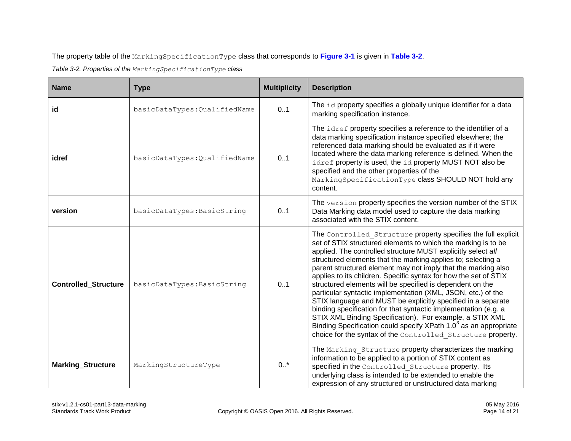The property table of the MarkingSpecificationType class that corresponds to **[Figure 3-1](#page-12-4)** is given in **[Table 3-2](#page-13-0)**.

<span id="page-13-0"></span>*Table 3-2. Properties of the MarkingSpecificationType class*

| <b>Name</b>                 | <b>Type</b>                   | <b>Multiplicity</b> | <b>Description</b>                                                                                                                                                                                                                                                                                                                                                                                                                                                                                                                                                                                                                                                                                                                                                                                                                                                   |
|-----------------------------|-------------------------------|---------------------|----------------------------------------------------------------------------------------------------------------------------------------------------------------------------------------------------------------------------------------------------------------------------------------------------------------------------------------------------------------------------------------------------------------------------------------------------------------------------------------------------------------------------------------------------------------------------------------------------------------------------------------------------------------------------------------------------------------------------------------------------------------------------------------------------------------------------------------------------------------------|
| id                          | basicDataTypes: QualifiedName | 0.1                 | The id property specifies a globally unique identifier for a data<br>marking specification instance.                                                                                                                                                                                                                                                                                                                                                                                                                                                                                                                                                                                                                                                                                                                                                                 |
| idref                       | basicDataTypes: QualifiedName | 0.1                 | The idref property specifies a reference to the identifier of a<br>data marking specification instance specified elsewhere; the<br>referenced data marking should be evaluated as if it were<br>located where the data marking reference is defined. When the<br>idref property is used, the id property MUST NOT also be<br>specified and the other properties of the<br>MarkingSpecificationType class SHOULD NOT hold any<br>content.                                                                                                                                                                                                                                                                                                                                                                                                                             |
| version                     | basicDataTypes: BasicString   | 0.1                 | The version property specifies the version number of the STIX<br>Data Marking data model used to capture the data marking<br>associated with the STIX content.                                                                                                                                                                                                                                                                                                                                                                                                                                                                                                                                                                                                                                                                                                       |
| <b>Controlled_Structure</b> | basicDataTypes: BasicString   | 0.1                 | The Controlled Structure property specifies the full explicit<br>set of STIX structured elements to which the marking is to be<br>applied. The controlled structure MUST explicitly select all<br>structured elements that the marking applies to; selecting a<br>parent structured element may not imply that the marking also<br>applies to its children. Specific syntax for how the set of STIX<br>structured elements will be specified is dependent on the<br>particular syntactic implementation (XML, JSON, etc.) of the<br>STIX language and MUST be explicitly specified in a separate<br>binding specification for that syntactic implementation (e.g. a<br>STIX XML Binding Specification). For example, a STIX XML<br>Binding Specification could specify XPath $1.03$ as an appropriate<br>choice for the syntax of the Controlled Structure property. |
| <b>Marking_Structure</b>    | MarkingStructureType          | $0.1*$              | The Marking Structure property characterizes the marking<br>information to be applied to a portion of STIX content as<br>specified in the Controlled Structure property. Its<br>underlying class is intended to be extended to enable the<br>expression of any structured or unstructured data marking                                                                                                                                                                                                                                                                                                                                                                                                                                                                                                                                                               |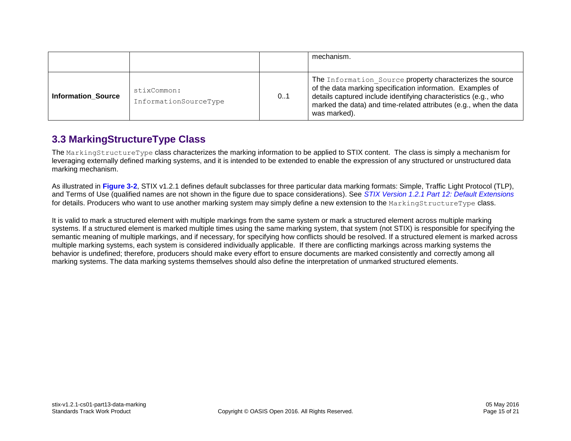|                           |                                      |    | mechanism.                                                                                                                                                                                                                                                                     |
|---------------------------|--------------------------------------|----|--------------------------------------------------------------------------------------------------------------------------------------------------------------------------------------------------------------------------------------------------------------------------------|
| <b>Information Source</b> | stixCommon:<br>InformationSourceType | 01 | The Information Source property characterizes the source<br>of the data marking specification information. Examples of<br>details captured include identifying characteristics (e.g., who<br>marked the data) and time-related attributes (e.g., when the data<br>was marked). |

# **3.3 MarkingStructureType Class**

The MarkingStructureType class characterizes the marking information to be applied to STIX content. The class is simply a mechanism for leveraging externally defined marking systems, and it is intended to be extended to enable the expression of any structured or unstructured data marking mechanism.

As illustrated in **[Figure 3-2](#page-15-0)**, STIX v1.2.1 defines default subclasses for three particular data marking formats: Simple, Traffic Light Protocol (TLP), and Terms of Use (qualified names are not shown in the figure due to space considerations). See *[STIX Version 1.2.1 Part 12: Default Extensions](#page-0-1)* for details. Producers who want to use another marking system may simply define a new extension to the MarkingStructureType class.

<span id="page-14-0"></span>It is valid to mark a structured element with multiple markings from the same system or mark a structured element across multiple marking systems. If a structured element is marked multiple times using the same marking system, that system (not STIX) is responsible for specifying the semantic meaning of multiple markings, and if necessary, for specifying how conflicts should be resolved. If a structured element is marked across multiple marking systems, each system is considered individually applicable. If there are conflicting markings across marking systems the behavior is undefined; therefore, producers should make every effort to ensure documents are marked consistently and correctly among all marking systems. The data marking systems themselves should also define the interpretation of unmarked structured elements.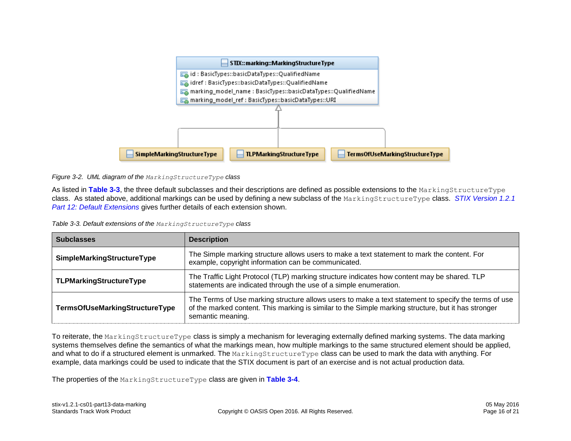

<span id="page-15-0"></span>*Figure 3-2. UML diagram of the MarkingStructureType class*

As listed in **[Table 3-3](#page-15-1)**, the three default subclasses and their descriptions are defined as possible extensions to the MarkingStructureType class. As stated above, additional markings can be used by defining a new subclass of the MarkingStructureType class. *[STIX Version 1.2.1](#page-0-1)  [Part 12: Default Extensions](#page-0-1)* gives further details of each extension shown.

<span id="page-15-1"></span>

| <b>Subclasses</b>              | <b>Description</b>                                                                                                                                                                                                               |  |  |
|--------------------------------|----------------------------------------------------------------------------------------------------------------------------------------------------------------------------------------------------------------------------------|--|--|
| SimpleMarkingStructureType     | The Simple marking structure allows users to make a text statement to mark the content. For<br>example, copyright information can be communicated.                                                                               |  |  |
| <b>TLPMarkingStructureType</b> | The Traffic Light Protocol (TLP) marking structure indicates how content may be shared. TLP<br>statements are indicated through the use of a simple enumeration.                                                                 |  |  |
| TermsOfUseMarkingStructureType | The Terms of Use marking structure allows users to make a text statement to specify the terms of use<br>of the marked content. This marking is similar to the Simple marking structure, but it has stronger<br>semantic meaning. |  |  |

To reiterate, the MarkingStructureType class is simply a mechanism for leveraging externally defined marking systems. The data marking systems themselves define the semantics of what the markings mean, how multiple markings to the same structured element should be applied, and what to do if a structured element is unmarked. The MarkingStructureType class can be used to mark the data with anything. For example, data markings could be used to indicate that the STIX document is part of an exercise and is not actual production data.

The properties of the MarkingStructureType class are given in **[Table 3-4](#page-16-0)**.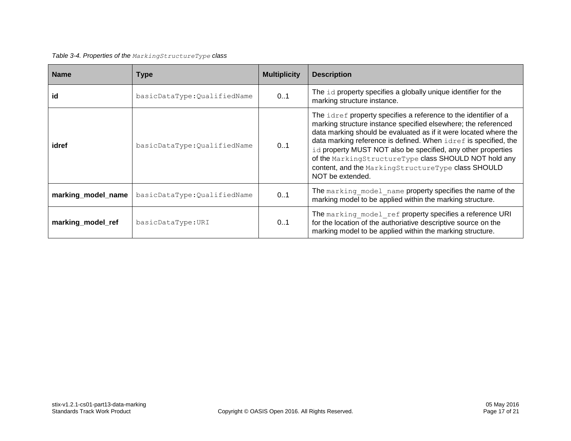#### <span id="page-16-0"></span>*Table 3-4. Properties of the MarkingStructureType class*

| <b>Name</b>        | Type                        | <b>Multiplicity</b> | <b>Description</b>                                                                                                                                                                                                                                                                                                                                                                                                                                                          |
|--------------------|-----------------------------|---------------------|-----------------------------------------------------------------------------------------------------------------------------------------------------------------------------------------------------------------------------------------------------------------------------------------------------------------------------------------------------------------------------------------------------------------------------------------------------------------------------|
| id                 | basicDataType:QualifiedName | 0.1                 | The id property specifies a globally unique identifier for the<br>marking structure instance.                                                                                                                                                                                                                                                                                                                                                                               |
| idref              | basicDataType:QualifiedName | 0.1                 | The idref property specifies a reference to the identifier of a<br>marking structure instance specified elsewhere; the referenced<br>data marking should be evaluated as if it were located where the<br>data marking reference is defined. When idref is specified, the<br>id property MUST NOT also be specified, any other properties<br>of the MarkingStructureType class SHOULD NOT hold any<br>content, and the MarkingStructureType class SHOULD<br>NOT be extended. |
| marking_model_name | basicDataType:QualifiedName | 0.1                 | The marking model name property specifies the name of the<br>marking model to be applied within the marking structure.                                                                                                                                                                                                                                                                                                                                                      |
| marking_model_ref  | basicDataType:URI           | 0.1                 | The marking model ref property specifies a reference URI<br>for the location of the authoriative descriptive source on the<br>marking model to be applied within the marking structure.                                                                                                                                                                                                                                                                                     |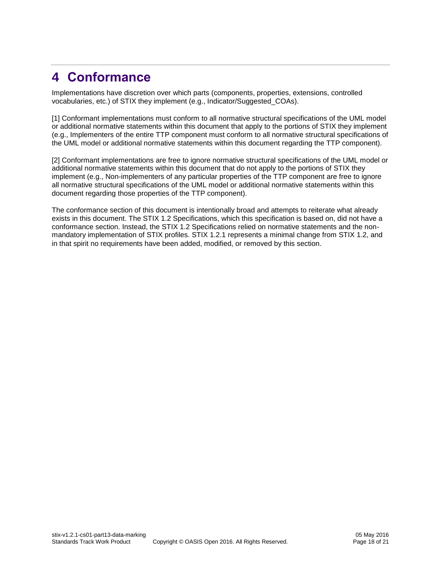# <span id="page-17-0"></span>**4 Conformance**

Implementations have discretion over which parts (components, properties, extensions, controlled vocabularies, etc.) of STIX they implement (e.g., Indicator/Suggested\_COAs).

[1] Conformant implementations must conform to all normative structural specifications of the UML model or additional normative statements within this document that apply to the portions of STIX they implement (e.g., Implementers of the entire TTP component must conform to all normative structural specifications of the UML model or additional normative statements within this document regarding the TTP component).

[2] Conformant implementations are free to ignore normative structural specifications of the UML model or additional normative statements within this document that do not apply to the portions of STIX they implement (e.g., Non-implementers of any particular properties of the TTP component are free to ignore all normative structural specifications of the UML model or additional normative statements within this document regarding those properties of the TTP component).

The conformance section of this document is intentionally broad and attempts to reiterate what already exists in this document. The STIX 1.2 Specifications, which this specification is based on, did not have a conformance section. Instead, the STIX 1.2 Specifications relied on normative statements and the nonmandatory implementation of STIX profiles. STIX 1.2.1 represents a minimal change from STIX 1.2, and in that spirit no requirements have been added, modified, or removed by this section.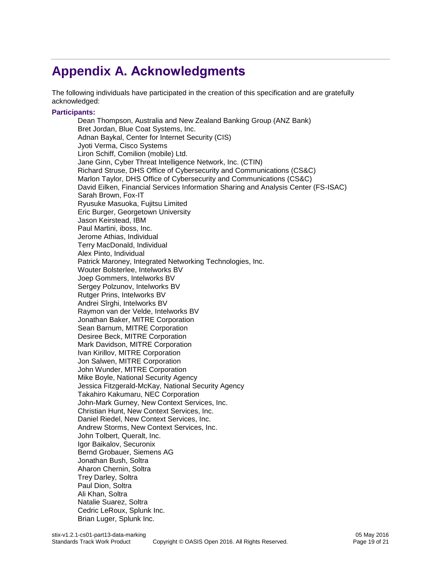# <span id="page-18-0"></span>**Appendix A. Acknowledgments**

The following individuals have participated in the creation of this specification and are gratefully acknowledged:

#### **Participants:**

Dean Thompson, Australia and New Zealand Banking Group (ANZ Bank) Bret Jordan, Blue Coat Systems, Inc. Adnan Baykal, Center for Internet Security (CIS) Jyoti Verma, Cisco Systems Liron Schiff, Comilion (mobile) Ltd. Jane Ginn, Cyber Threat Intelligence Network, Inc. (CTIN) Richard Struse, DHS Office of Cybersecurity and Communications (CS&C) Marlon Taylor, DHS Office of Cybersecurity and Communications (CS&C) David Eilken, Financial Services Information Sharing and Analysis Center (FS-ISAC) Sarah Brown, Fox-IT Ryusuke Masuoka, Fujitsu Limited Eric Burger, Georgetown University Jason Keirstead, IBM Paul Martini, iboss, Inc. Jerome Athias, Individual Terry MacDonald, Individual Alex Pinto, Individual Patrick Maroney, Integrated Networking Technologies, Inc. Wouter Bolsterlee, Intelworks BV Joep Gommers, Intelworks BV Sergey Polzunov, Intelworks BV Rutger Prins, Intelworks BV Andrei Sîrghi, Intelworks BV Raymon van der Velde, Intelworks BV Jonathan Baker, MITRE Corporation Sean Barnum, MITRE Corporation Desiree Beck, MITRE Corporation Mark Davidson, MITRE Corporation Ivan Kirillov, MITRE Corporation Jon Salwen, MITRE Corporation John Wunder, MITRE Corporation Mike Boyle, National Security Agency Jessica Fitzgerald-McKay, National Security Agency Takahiro Kakumaru, NEC Corporation John-Mark Gurney, New Context Services, Inc. Christian Hunt, New Context Services, Inc. Daniel Riedel, New Context Services, Inc. Andrew Storms, New Context Services, Inc. John Tolbert, Queralt, Inc. Igor Baikalov, Securonix Bernd Grobauer, Siemens AG Jonathan Bush, Soltra Aharon Chernin, Soltra Trey Darley, Soltra Paul Dion, Soltra Ali Khan, Soltra Natalie Suarez, Soltra Cedric LeRoux, Splunk Inc. Brian Luger, Splunk Inc.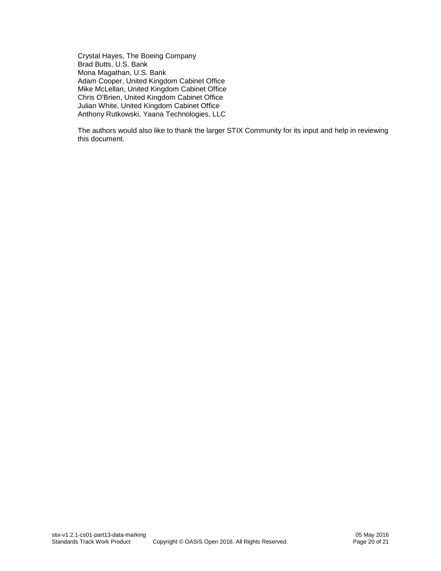Crystal Hayes, The Boeing Company Brad Butts, U.S. Bank Mona Magathan, U.S. Bank Adam Cooper, United Kingdom Cabinet Office Mike McLellan, United Kingdom Cabinet Office Chris O'Brien, United Kingdom Cabinet Office Julian White, United Kingdom Cabinet Office Anthony Rutkowski, Yaana Technologies, LLC

The authors would also like to thank the larger STIX Community for its input and help in reviewing this document.